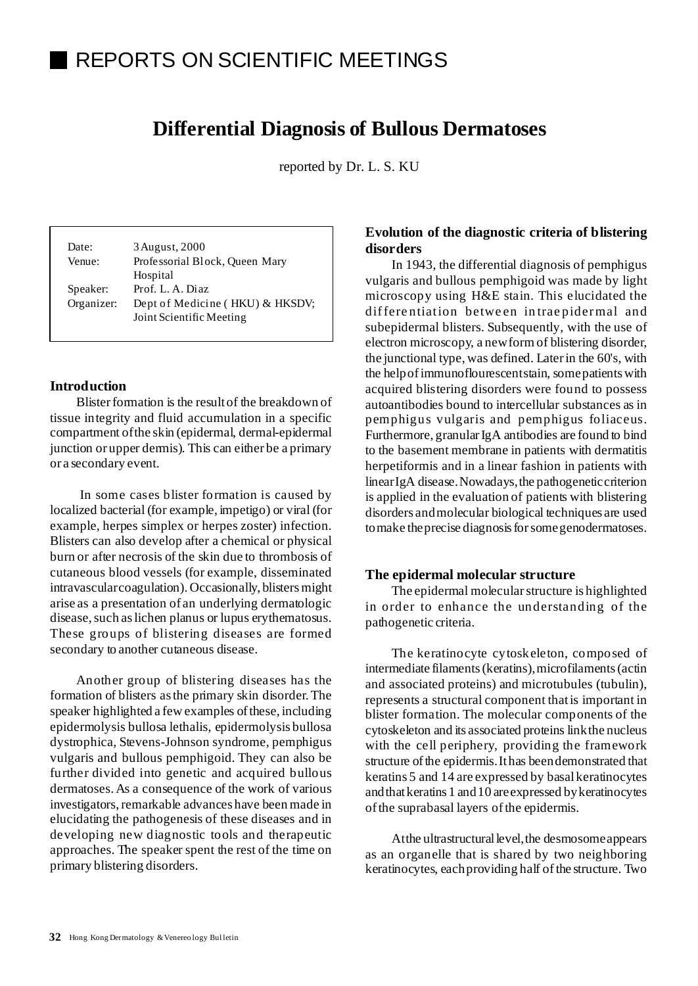# REPORTS ON SCIENTIFIC MEETINGS

# **Differential Diagnosis of Bullous Dermatoses**

reported by Dr. L. S. KU

Date: 3 August, 2000 Venue: Professorial Block, Queen Mary Hospital Speaker: Prof. L. A. Diaz Organizer: Dept of Medicine ( HKU) & HKSDV; Joint Scientific Meeting

### **Introduction**

Blisterformation is the resultof the breakdown of tissue integrity and fluid accumulation in a specific compartment ofthe skin (epidermal, dermal-epidermal junction or upper dermis). This can either be a primary or a secondary event.

In some cases blister formation is caused by localized bacterial (for example, impetigo) or viral (for example, herpes simplex or herpes zoster) infection. Blisters can also develop after a chemical or physical burn or after necrosis of the skin due to thrombosis of cutaneous blood vessels (for example, disseminated intravascularcoagulation). Occasionally, blisters might arise as a presentation of an underlying dermatologic disease, such as lichen planus or lupus erythematosus. These groups of blistering diseases are formed secondary to another cutaneous disease.

Another group of blistering diseases has the formation of blisters asthe primary skin disorder.The speaker highlighted a few examples of these, including epidermolysis bullosa lethalis, epidermolysis bullosa dystrophica, Stevens-Johnson syndrome, pemphigus vulgaris and bullous pemphigoid. They can also be further divided into genetic and acquired bullous dermatoses. As a consequence of the work of various investigators, remarkable advances have been made in elucidating the pathogenesis of these diseases and in developing new diagnostic tools and therapeutic approaches. The speaker spent the rest of the time on primary blistering disorders.

# **Evolution of the diagnostic criteria of blistering disorders**

In 1943, the differential diagnosis of pemphigus vulgaris and bullous pemphigoid was made by light microscopy using H&E stain. This elucidated the differe ntiation betwe en in trae pidermal and subepidermal blisters. Subsequently, with the use of electron microscopy, a newformof blistering disorder, the junctional type, was defined. Laterin the 60's, with the helpofimmunoflourescentstain, somepatientswith acquired blistering disorders were found to possess autoantibodies bound to intercellular substances as in pemphigus vulgaris and pemphigus foliaceus. Furthermore, granular IgA antibodies are found to bind to the basement membrane in patients with dermatitis herpetiformis and in a linear fashion in patients with linearIgA disease.Nowadays,the pathogeneticcriterion is applied in the evaluation of patients with blistering disorders andmolecular biological techniques are used tomake theprecise diagnosisforsomegenodermatoses.

#### **The epidermal molecular structure**

The epidermal molecularstructure is highlighted in order to enhance the understanding of the pathogenetic criteria.

The keratinocyte cytoskeleton, composed of intermediate filaments(keratins),microfilaments(actin and associated proteins) and microtubules (tubulin), represents a structural component thatis important in blister formation. The molecular components of the cytoskeleton and its associated proteins linkthe nucleus with the cell periphery, providing the framework structure of the epidermis. It has been demonstrated that keratins 5 and 14 are expressed by basalkeratinocytes andthatkeratins 1 and10 areexpressed bykeratinocytes ofthe suprabasal layers ofthe epidermis.

At the ultrastructural level, the desmosome appears as an organelle that is shared by two neighboring keratinocytes, each providing half of the structure. Two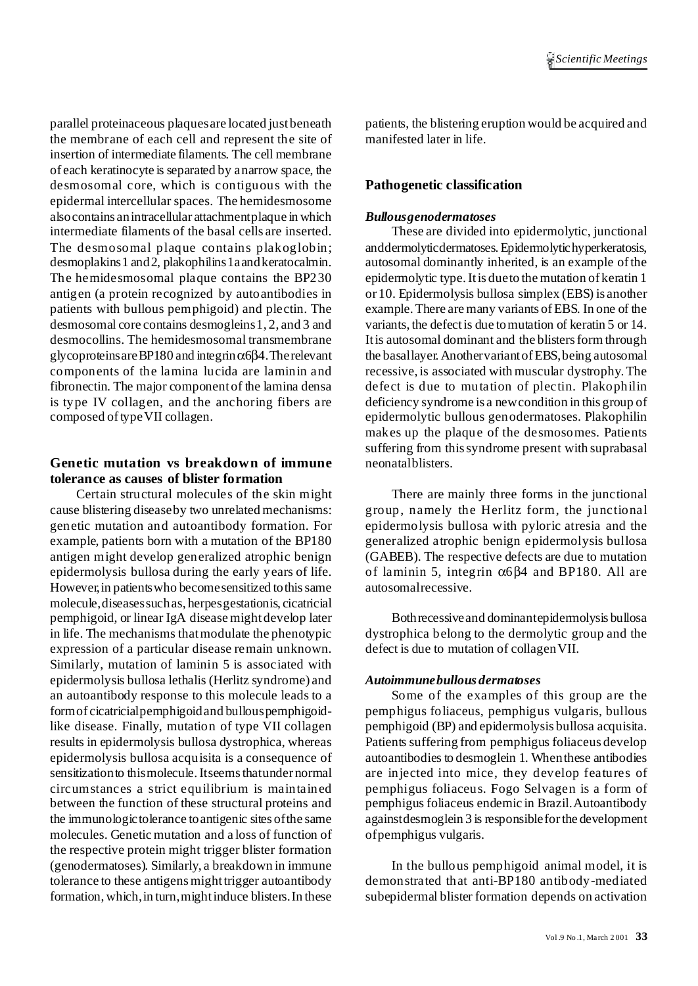parallel proteinaceous plaquesare located justbeneath the membrane of each cell and represent the site of insertion of intermediate filaments. The cell membrane of each keratinocyte is separated by anarrow space, the desmosomal core, which is contiguous with the epidermal intercellular spaces. The hemidesmosome alsocontains anintracellular attachmentplaque in which intermediate filaments of the basal cells are inserted. The desmosomal plaque contains plakoglobin; desmoplakins1 and2, plakophilins1aandkeratocalmin. The hemidesmosomal plaque contains the BP230 antigen (a protein recognized by autoantibodies in patients with bullous pemphigoid) and plectin. The desmosomal core contains desmogleins1, 2, and 3 and desmocollins. The hemidesmosomal transmembrane glycoproteins are BP180 and integrin $\alpha$ 6β4. The relevant components of the lamina lucida are laminin and fibronectin. The major componentof the lamina densa is type IV collagen, and the anchoring fibers are composed oftypeVII collagen.

# **Genetic mutation vs breakdown of immune tolerance as causes of blister formation**

Certain structural molecules of the skin might cause blistering diseaseby two unrelated mechanisms: genetic mutation and autoantibody formation. For example, patients born with a mutation of the BP180 antigen might develop generalized atrophic benign epidermolysis bullosa during the early years of life. However, in patients who become sensitized to this same molecule,diseasessuchas, herpesgestationis, cicatricial pemphigoid, or linear IgA disease mightdevelop later in life. The mechanisms thatmodulate the phenotypic expression of a particular disease remain unknown. Similarly, mutation of laminin 5 is associated with epidermolysis bullosa lethalis (Herlitz syndrome) and an autoantibody response to this molecule leads to a formof cicatricialpemphigoidand bullouspemphigoidlike disease. Finally, mutation of type VII collagen results in epidermolysis bullosa dystrophica, whereas epidermolysis bullosa acquisita is a consequence of sensitization to this molecule. It seems that under normal circumstances a strict equilibrium is maintained between the function of these structural proteins and the immunologictolerance toantigenic sites ofthe same molecules. Genetic mutation and a loss of function of the respective protein might trigger blister formation (genodermatoses). Similarly, a breakdown in immune tolerance to these antigens might trigger autoantibody formation, which, in turn, might induce blisters. In these

patients, the blistering eruption would be acquired and manifested later in life.

## **Pathogenetic classification**

#### *Bullousgenodermatoses*

These are divided into epidermolytic, junctional anddermolyticdermatoses.Epidermolytichyperkeratosis, autosomal dominantly inherited, is an example ofthe epidermolytic type.Itis dueto the mutation of keratin 1 or 10. Epidermolysis bullosa simplex (EBS) is another example. There are many variants of EBS. In one of the variants, the defectis due tomutation of keratin 5 or 14. It is autosomal dominant and the blisters form through the basallayer. AnothervariantofEBS,being autosomal recessive, is associated with muscular dystrophy.The defect is due to mutation of plectin. Plakophilin deficiency syndrome is a newcondition in this group of epidermolytic bullous genodermatoses. Plakophilin makes up the plaque of the desmosomes. Patients suffering from this syndrome present with suprabasal neonatalblisters.

There are mainly three forms in the junctional group, namely the Herlitz form, the junctional epidermolysis bullosa with pyloric atresia and the generalized atrophic benign epidermolysis bullosa (GABEB). The respective defects are due to mutation of laminin 5, integrin α6β4 and BP180. All are autosomalrecessive.

Bothrecessiveand dominantepidermolysis bullosa dystrophica belong to the dermolytic group and the defect is due to mutation of collagenVII.

#### *Autoimmunebullous dermatoses*

Some of the examples of this group are the pemphigus foliaceus, pemphigus vulgaris, bullous pemphigoid (BP) and epidermolysis bullosa acquisita. Patients suffering from pemphigus foliaceus develop autoantibodies to desmoglein 1. Whenthese antibodies are injected into mice, they develop features of pemphigus foliaceus. Fogo Selvagen is a form of pemphigus foliaceus endemic in Brazil.Autoantibody againstdesmoglein 3 is responsibleforthe development ofpemphigus vulgaris.

In the bullous pemphigoid animal model, it is demonstrated that anti-BP180 antibody-mediated subepidermal blister formation depends on activation